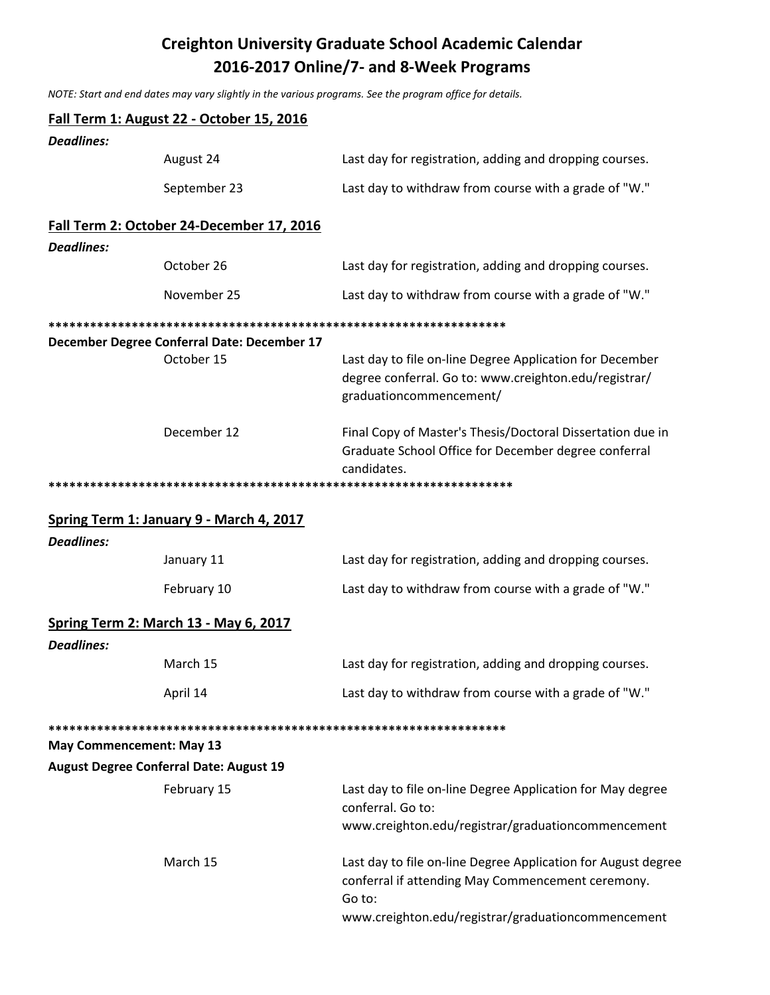## **Creighton University Graduate School Academic Calendar** 2016-2017 Online/7- and 8-Week Programs

NOTE: Start and end dates may vary slightly in the various programs. See the program office for details.

|                   | Fall Term 1: August 22 - October 15, 2016                 |                                                                                                                                              |
|-------------------|-----------------------------------------------------------|----------------------------------------------------------------------------------------------------------------------------------------------|
| <b>Deadlines:</b> |                                                           |                                                                                                                                              |
|                   | August 24                                                 | Last day for registration, adding and dropping courses.                                                                                      |
|                   | September 23                                              | Last day to withdraw from course with a grade of "W."                                                                                        |
|                   | Fall Term 2: October 24-December 17, 2016                 |                                                                                                                                              |
| <b>Deadlines:</b> |                                                           |                                                                                                                                              |
|                   | October 26                                                | Last day for registration, adding and dropping courses.                                                                                      |
|                   | November 25                                               | Last day to withdraw from course with a grade of "W."                                                                                        |
|                   |                                                           |                                                                                                                                              |
|                   | December Degree Conferral Date: December 17<br>October 15 | Last day to file on-line Degree Application for December<br>degree conferral. Go to: www.creighton.edu/registrar/<br>graduationcommencement/ |
|                   | December 12                                               | Final Copy of Master's Thesis/Doctoral Dissertation due in<br>Graduate School Office for December degree conferral<br>candidates.            |
|                   |                                                           |                                                                                                                                              |
|                   | Spring Term 1: January 9 - March 4, 2017                  |                                                                                                                                              |
| <b>Deadlines:</b> |                                                           |                                                                                                                                              |
|                   | January 11                                                | Last day for registration, adding and dropping courses.                                                                                      |
|                   | February 10                                               | Last day to withdraw from course with a grade of "W."                                                                                        |
| <b>Deadlines:</b> | <b>Spring Term 2: March 13 - May 6, 2017</b>              |                                                                                                                                              |
|                   | March 15                                                  | Last day for registration, adding and dropping courses.                                                                                      |
|                   | April 14                                                  | Last day to withdraw from course with a grade of "W."                                                                                        |
|                   |                                                           |                                                                                                                                              |
|                   | <b>May Commencement: May 13</b>                           |                                                                                                                                              |
|                   | <b>August Degree Conferral Date: August 19</b>            |                                                                                                                                              |
|                   | February 15                                               | Last day to file on-line Degree Application for May degree<br>conferral. Go to:                                                              |
|                   |                                                           | www.creighton.edu/registrar/graduationcommencement                                                                                           |
|                   | March 15                                                  | Last day to file on-line Degree Application for August degree<br>conferral if attending May Commencement ceremony.<br>Go to:                 |
|                   |                                                           | www.creighton.edu/registrar/graduationcommencement                                                                                           |